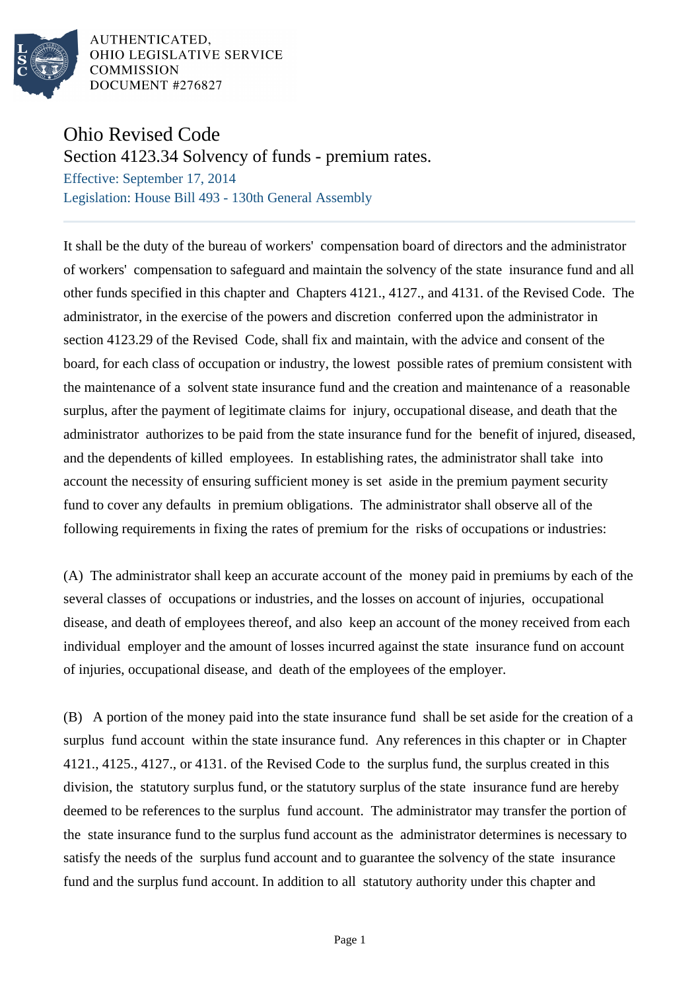

AUTHENTICATED. OHIO LEGISLATIVE SERVICE **COMMISSION** DOCUMENT #276827

## Ohio Revised Code

Section 4123.34 Solvency of funds - premium rates.

Effective: September 17, 2014 Legislation: House Bill 493 - 130th General Assembly

It shall be the duty of the bureau of workers' compensation board of directors and the administrator of workers' compensation to safeguard and maintain the solvency of the state insurance fund and all other funds specified in this chapter and Chapters 4121., 4127., and 4131. of the Revised Code. The administrator, in the exercise of the powers and discretion conferred upon the administrator in section 4123.29 of the Revised Code, shall fix and maintain, with the advice and consent of the board, for each class of occupation or industry, the lowest possible rates of premium consistent with the maintenance of a solvent state insurance fund and the creation and maintenance of a reasonable surplus, after the payment of legitimate claims for injury, occupational disease, and death that the administrator authorizes to be paid from the state insurance fund for the benefit of injured, diseased, and the dependents of killed employees. In establishing rates, the administrator shall take into account the necessity of ensuring sufficient money is set aside in the premium payment security fund to cover any defaults in premium obligations. The administrator shall observe all of the following requirements in fixing the rates of premium for the risks of occupations or industries:

(A) The administrator shall keep an accurate account of the money paid in premiums by each of the several classes of occupations or industries, and the losses on account of injuries, occupational disease, and death of employees thereof, and also keep an account of the money received from each individual employer and the amount of losses incurred against the state insurance fund on account of injuries, occupational disease, and death of the employees of the employer.

(B) A portion of the money paid into the state insurance fund shall be set aside for the creation of a surplus fund account within the state insurance fund. Any references in this chapter or in Chapter 4121., 4125., 4127., or 4131. of the Revised Code to the surplus fund, the surplus created in this division, the statutory surplus fund, or the statutory surplus of the state insurance fund are hereby deemed to be references to the surplus fund account. The administrator may transfer the portion of the state insurance fund to the surplus fund account as the administrator determines is necessary to satisfy the needs of the surplus fund account and to guarantee the solvency of the state insurance fund and the surplus fund account. In addition to all statutory authority under this chapter and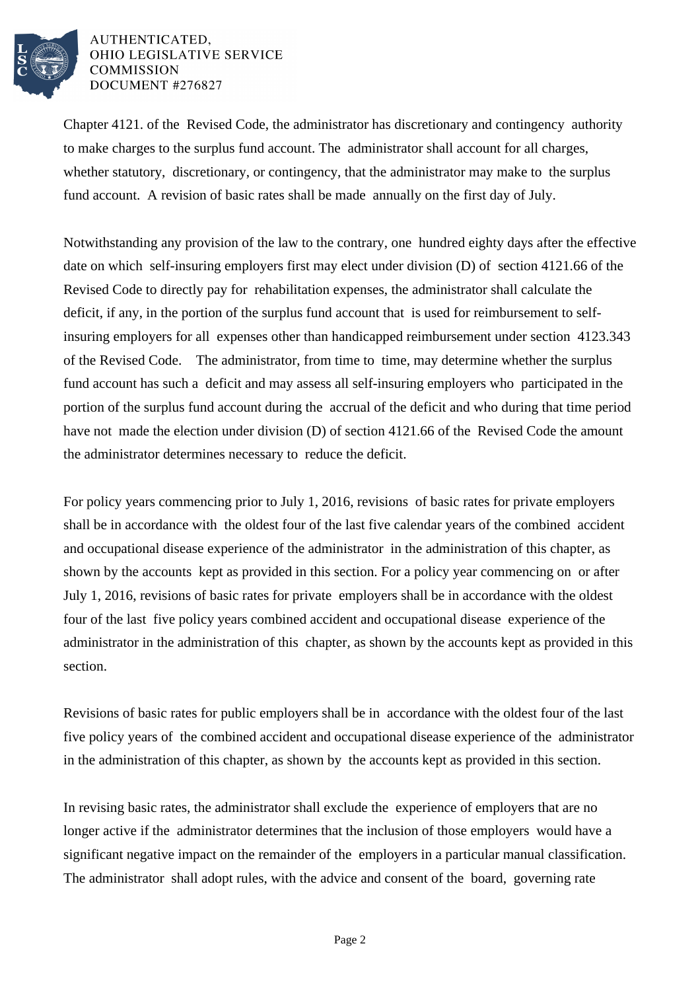

## AUTHENTICATED. OHIO LEGISLATIVE SERVICE **COMMISSION** DOCUMENT #276827

Chapter 4121. of the Revised Code, the administrator has discretionary and contingency authority to make charges to the surplus fund account. The administrator shall account for all charges, whether statutory, discretionary, or contingency, that the administrator may make to the surplus fund account. A revision of basic rates shall be made annually on the first day of July.

Notwithstanding any provision of the law to the contrary, one hundred eighty days after the effective date on which self-insuring employers first may elect under division (D) of section 4121.66 of the Revised Code to directly pay for rehabilitation expenses, the administrator shall calculate the deficit, if any, in the portion of the surplus fund account that is used for reimbursement to selfinsuring employers for all expenses other than handicapped reimbursement under section 4123.343 of the Revised Code. The administrator, from time to time, may determine whether the surplus fund account has such a deficit and may assess all self-insuring employers who participated in the portion of the surplus fund account during the accrual of the deficit and who during that time period have not made the election under division (D) of section 4121.66 of the Revised Code the amount the administrator determines necessary to reduce the deficit.

For policy years commencing prior to July 1, 2016, revisions of basic rates for private employers shall be in accordance with the oldest four of the last five calendar years of the combined accident and occupational disease experience of the administrator in the administration of this chapter, as shown by the accounts kept as provided in this section. For a policy year commencing on or after July 1, 2016, revisions of basic rates for private employers shall be in accordance with the oldest four of the last five policy years combined accident and occupational disease experience of the administrator in the administration of this chapter, as shown by the accounts kept as provided in this section.

Revisions of basic rates for public employers shall be in accordance with the oldest four of the last five policy years of the combined accident and occupational disease experience of the administrator in the administration of this chapter, as shown by the accounts kept as provided in this section.

In revising basic rates, the administrator shall exclude the experience of employers that are no longer active if the administrator determines that the inclusion of those employers would have a significant negative impact on the remainder of the employers in a particular manual classification. The administrator shall adopt rules, with the advice and consent of the board, governing rate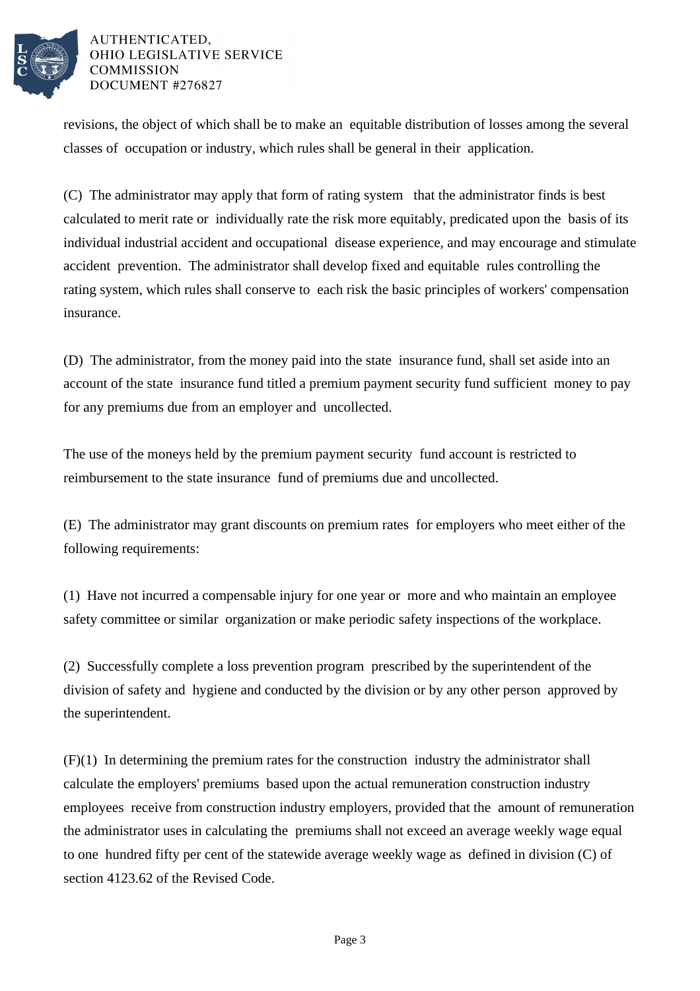

## AUTHENTICATED. OHIO LEGISLATIVE SERVICE **COMMISSION** DOCUMENT #276827

revisions, the object of which shall be to make an equitable distribution of losses among the several classes of occupation or industry, which rules shall be general in their application.

(C) The administrator may apply that form of rating system that the administrator finds is best calculated to merit rate or individually rate the risk more equitably, predicated upon the basis of its individual industrial accident and occupational disease experience, and may encourage and stimulate accident prevention. The administrator shall develop fixed and equitable rules controlling the rating system, which rules shall conserve to each risk the basic principles of workers' compensation insurance.

(D) The administrator, from the money paid into the state insurance fund, shall set aside into an account of the state insurance fund titled a premium payment security fund sufficient money to pay for any premiums due from an employer and uncollected.

The use of the moneys held by the premium payment security fund account is restricted to reimbursement to the state insurance fund of premiums due and uncollected.

(E) The administrator may grant discounts on premium rates for employers who meet either of the following requirements:

(1) Have not incurred a compensable injury for one year or more and who maintain an employee safety committee or similar organization or make periodic safety inspections of the workplace.

(2) Successfully complete a loss prevention program prescribed by the superintendent of the division of safety and hygiene and conducted by the division or by any other person approved by the superintendent.

(F)(1) In determining the premium rates for the construction industry the administrator shall calculate the employers' premiums based upon the actual remuneration construction industry employees receive from construction industry employers, provided that the amount of remuneration the administrator uses in calculating the premiums shall not exceed an average weekly wage equal to one hundred fifty per cent of the statewide average weekly wage as defined in division (C) of section 4123.62 of the Revised Code.